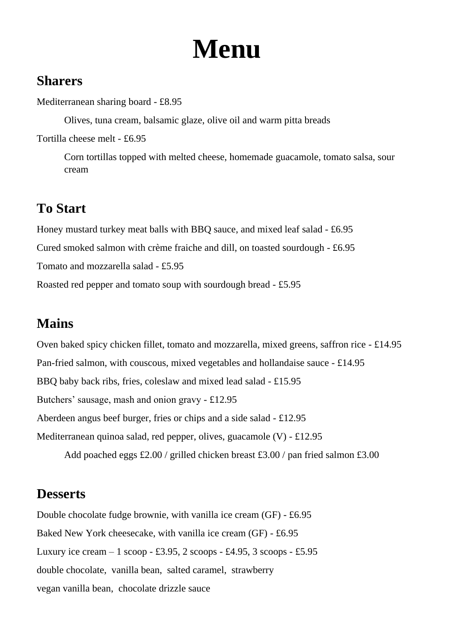## **Menu**

#### **Sharers**

Mediterranean sharing board - £8.95

Olives, tuna cream, balsamic glaze, olive oil and warm pitta breads

Tortilla cheese melt - £6.95

Corn tortillas topped with melted cheese, homemade guacamole, tomato salsa, sour cream

## **To Start**

Honey mustard turkey meat balls with BBQ sauce, and mixed leaf salad - £6.95 Cured smoked salmon with crème fraiche and dill, on toasted sourdough - £6.95 Tomato and mozzarella salad - £5.95 Roasted red pepper and tomato soup with sourdough bread - £5.95

## **Mains**

Oven baked spicy chicken fillet, tomato and mozzarella, mixed greens, saffron rice - £14.95 Pan-fried salmon, with couscous, mixed vegetables and hollandaise sauce - £14.95 BBQ baby back ribs, fries, coleslaw and mixed lead salad - £15.95 Butchers' sausage, mash and onion gravy - £12.95 Aberdeen angus beef burger, fries or chips and a side salad - £12.95 Mediterranean quinoa salad, red pepper, olives, guacamole (V) - £12.95

Add poached eggs £2.00 / grilled chicken breast £3.00 / pan fried salmon £3.00

#### **Desserts**

Double chocolate fudge brownie, with vanilla ice cream (GF) - £6.95 Baked New York cheesecake, with vanilla ice cream (GF) - £6.95 Luxury ice cream  $-1$  scoop - £3.95, 2 scoops - £4.95, 3 scoops - £5.95 double chocolate, vanilla bean, salted caramel, strawberry vegan vanilla bean, chocolate drizzle sauce